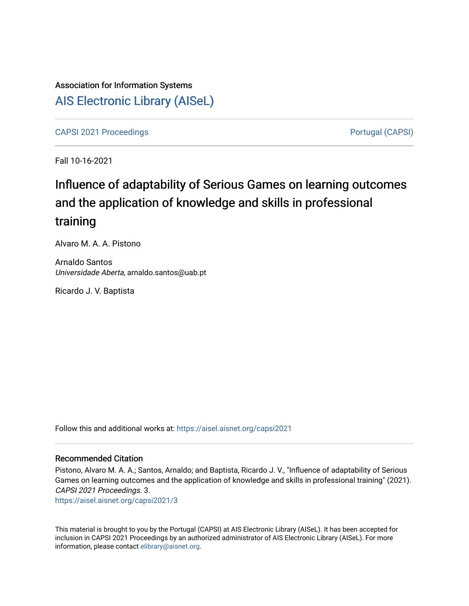## Association for Information Systems [AIS Electronic Library \(AISeL\)](https://aisel.aisnet.org/)

[CAPSI 2021 Proceedings](https://aisel.aisnet.org/capsi2021) **Portugal (CAPSI)** Portugal (CAPSI)

Fall 10-16-2021

# Influence of adaptability of Serious Games on learning outcomes and the application of knowledge and skills in professional training

Alvaro M. A. A. Pistono

Arnaldo Santos Universidade Aberta, arnaldo.santos@uab.pt

Ricardo J. V. Baptista

Follow this and additional works at: [https://aisel.aisnet.org/capsi2021](https://aisel.aisnet.org/capsi2021?utm_source=aisel.aisnet.org%2Fcapsi2021%2F3&utm_medium=PDF&utm_campaign=PDFCoverPages)

#### Recommended Citation

Pistono, Alvaro M. A. A.; Santos, Arnaldo; and Baptista, Ricardo J. V., "Influence of adaptability of Serious Games on learning outcomes and the application of knowledge and skills in professional training" (2021). CAPSI 2021 Proceedings. 3.

[https://aisel.aisnet.org/capsi2021/3](https://aisel.aisnet.org/capsi2021/3?utm_source=aisel.aisnet.org%2Fcapsi2021%2F3&utm_medium=PDF&utm_campaign=PDFCoverPages)

This material is brought to you by the Portugal (CAPSI) at AIS Electronic Library (AISeL). It has been accepted for inclusion in CAPSI 2021 Proceedings by an authorized administrator of AIS Electronic Library (AISeL). For more information, please contact [elibrary@aisnet.org.](mailto:elibrary@aisnet.org%3E)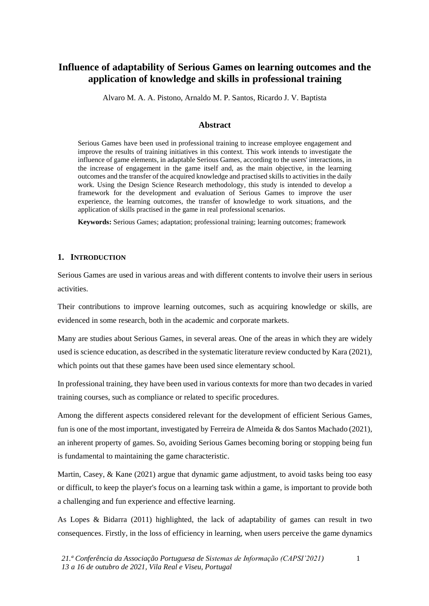### **Influence of adaptability of Serious Games on learning outcomes and the application of knowledge and skills in professional training**

Alvaro M. A. A. Pistono, Arnaldo M. P. Santos, Ricardo J. V. Baptista

#### **Abstract**

Serious Games have been used in professional training to increase employee engagement and improve the results of training initiatives in this context. This work intends to investigate the influence of game elements, in adaptable Serious Games, according to the users' interactions, in the increase of engagement in the game itself and, as the main objective, in the learning outcomes and the transfer of the acquired knowledge and practised skills to activities in the daily work. Using the Design Science Research methodology, this study is intended to develop a framework for the development and evaluation of Serious Games to improve the user experience, the learning outcomes, the transfer of knowledge to work situations, and the application of skills practised in the game in real professional scenarios.

**Keywords:** Serious Games; adaptation; professional training; learning outcomes; framework

#### **1. INTRODUCTION**

Serious Games are used in various areas and with different contents to involve their users in serious activities.

Their contributions to improve learning outcomes, such as acquiring knowledge or skills, are evidenced in some research, both in the academic and corporate markets.

Many are studies about Serious Games, in several areas. One of the areas in which they are widely used is science education, as described in the systematic literature review conducted by Kara (2021), which points out that these games have been used since elementary school.

In professional training, they have been used in various contexts for more than two decades in varied training courses, such as compliance or related to specific procedures.

Among the different aspects considered relevant for the development of efficient Serious Games, fun is one of the most important, investigated by Ferreira de Almeida & dos Santos Machado (2021), an inherent property of games. So, avoiding Serious Games becoming boring or stopping being fun is fundamental to maintaining the game characteristic.

Martin, Casey, & Kane (2021) argue that dynamic game adjustment, to avoid tasks being too easy or difficult, to keep the player's focus on a learning task within a game, is important to provide both a challenging and fun experience and effective learning.

As Lopes & Bidarra (2011) highlighted, the lack of adaptability of games can result in two consequences. Firstly, in the loss of efficiency in learning, when users perceive the game dynamics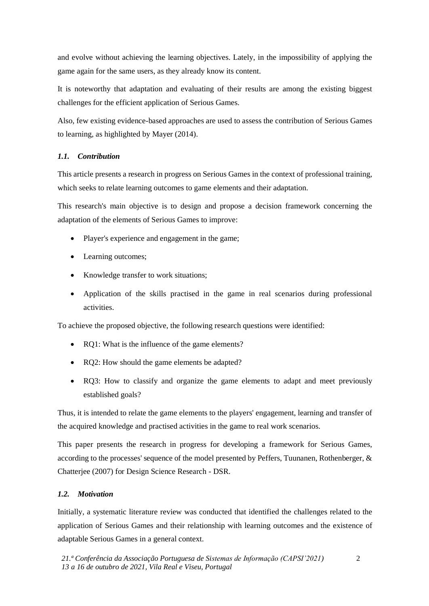and evolve without achieving the learning objectives. Lately, in the impossibility of applying the game again for the same users, as they already know its content.

It is noteworthy that adaptation and evaluating of their results are among the existing biggest challenges for the efficient application of Serious Games.

Also, few existing evidence-based approaches are used to assess the contribution of Serious Games to learning, as highlighted by Mayer (2014).

#### *1.1. Contribution*

This article presents a research in progress on Serious Games in the context of professional training, which seeks to relate learning outcomes to game elements and their adaptation.

This research's main objective is to design and propose a decision framework concerning the adaptation of the elements of Serious Games to improve:

- Player's experience and engagement in the game;
- Learning outcomes;
- Knowledge transfer to work situations;
- Application of the skills practised in the game in real scenarios during professional activities.

To achieve the proposed objective, the following research questions were identified:

- RO1: What is the influence of the game elements?
- RQ2: How should the game elements be adapted?
- RQ3: How to classify and organize the game elements to adapt and meet previously established goals?

Thus, it is intended to relate the game elements to the players' engagement, learning and transfer of the acquired knowledge and practised activities in the game to real work scenarios.

This paper presents the research in progress for developing a framework for Serious Games, according to the processes' sequence of the model presented by Peffers, Tuunanen, Rothenberger, & Chatterjee (2007) for Design Science Research - DSR.

#### *1.2. Motivation*

Initially, a systematic literature review was conducted that identified the challenges related to the application of Serious Games and their relationship with learning outcomes and the existence of adaptable Serious Games in a general context.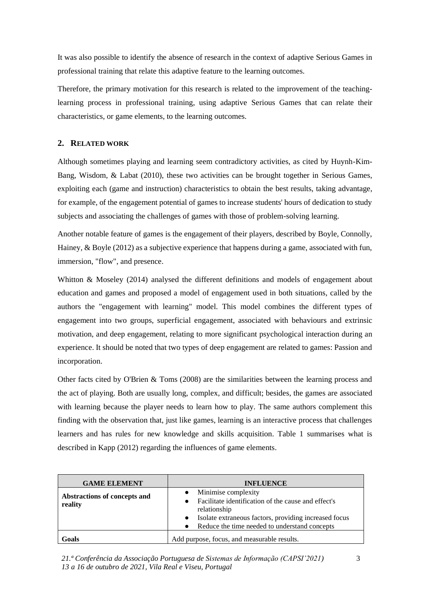It was also possible to identify the absence of research in the context of adaptive Serious Games in professional training that relate this adaptive feature to the learning outcomes.

Therefore, the primary motivation for this research is related to the improvement of the teachinglearning process in professional training, using adaptive Serious Games that can relate their characteristics, or game elements, to the learning outcomes.

#### **2. RELATED WORK**

Although sometimes playing and learning seem contradictory activities, as cited by Huynh-Kim-Bang, Wisdom, & Labat (2010), these two activities can be brought together in Serious Games, exploiting each (game and instruction) characteristics to obtain the best results, taking advantage, for example, of the engagement potential of games to increase students' hours of dedication to study subjects and associating the challenges of games with those of problem-solving learning.

Another notable feature of games is the engagement of their players, described by Boyle, Connolly, Hainey, & Boyle (2012) as a subjective experience that happens during a game, associated with fun, immersion, "flow", and presence.

Whitton & Moseley (2014) analysed the different definitions and models of engagement about education and games and proposed a model of engagement used in both situations, called by the authors the "engagement with learning" model. This model combines the different types of engagement into two groups, superficial engagement, associated with behaviours and extrinsic motivation, and deep engagement, relating to more significant psychological interaction during an experience. It should be noted that two types of deep engagement are related to games: Passion and incorporation.

Other facts cited by O'Brien & Toms (2008) are the similarities between the learning process and the act of playing. Both are usually long, complex, and difficult; besides, the games are associated with learning because the player needs to learn how to play. The same authors complement this finding with the observation that, just like games, learning is an interactive process that challenges learners and has rules for new knowledge and skills acquisition. Table 1 summarises what is described in Kapp (2012) regarding the influences of game elements.

| <b>GAME ELEMENT</b>                     | <b>INFLUENCE</b>                                                                                                                                                                                                  |
|-----------------------------------------|-------------------------------------------------------------------------------------------------------------------------------------------------------------------------------------------------------------------|
| Abstractions of concepts and<br>reality | Minimise complexity<br>Facilitate identification of the cause and effect's<br>relationship<br>Isolate extraneous factors, providing increased focus<br>$\bullet$<br>Reduce the time needed to understand concepts |
| Goals                                   | Add purpose, focus, and measurable results.                                                                                                                                                                       |

*21.ª Conferência da Associação Portuguesa de Sistemas de Informação (CAPSI'2021) 13 a 16 de outubro de 2021, Vila Real e Viseu, Portugal*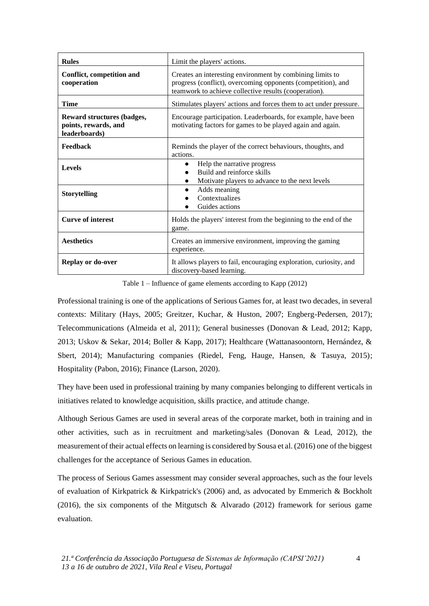| <b>Rules</b>                                                               | Limit the players' actions.                                                                                                                                                        |  |  |
|----------------------------------------------------------------------------|------------------------------------------------------------------------------------------------------------------------------------------------------------------------------------|--|--|
| Conflict, competition and<br>cooperation                                   | Creates an interesting environment by combining limits to<br>progress (conflict), overcoming opponents (competition), and<br>teamwork to achieve collective results (cooperation). |  |  |
| Time                                                                       | Stimulates players' actions and forces them to act under pressure.                                                                                                                 |  |  |
| <b>Reward structures (badges,</b><br>points, rewards, and<br>leaderboards) | Encourage participation. Leaderboards, for example, have been<br>motivating factors for games to be played again and again.                                                        |  |  |
| Feedback                                                                   | Reminds the player of the correct behaviours, thoughts, and<br>actions.                                                                                                            |  |  |
| <b>Levels</b>                                                              | Help the narrative progress<br>$\bullet$<br>Build and reinforce skills<br>Motivate players to advance to the next levels                                                           |  |  |
| <b>Storytelling</b>                                                        | Adds meaning<br>Contextualizes<br>Guides actions                                                                                                                                   |  |  |
| <b>Curve of interest</b>                                                   | Holds the players' interest from the beginning to the end of the<br>game.                                                                                                          |  |  |
| <b>Aesthetics</b>                                                          | Creates an immersive environment, improving the gaming<br>experience.                                                                                                              |  |  |
| <b>Replay or do-over</b>                                                   | It allows players to fail, encouraging exploration, curiosity, and<br>discovery-based learning.                                                                                    |  |  |

Table 1 – Influence of game elements according to Kapp (2012)

Professional training is one of the applications of Serious Games for, at least two decades, in several contexts: Military (Hays, 2005; Greitzer, Kuchar, & Huston, 2007; Engberg-Pedersen, 2017); Telecommunications (Almeida et al, 2011); General businesses (Donovan & Lead, 2012; Kapp, 2013; Uskov & Sekar, 2014; Boller & Kapp, 2017); Healthcare (Wattanasoontorn, Hernández, & Sbert, 2014); Manufacturing companies (Riedel, Feng, Hauge, Hansen, & Tasuya, 2015); Hospitality (Pabon, 2016); Finance (Larson, 2020).

They have been used in professional training by many companies belonging to different verticals in initiatives related to knowledge acquisition, skills practice, and attitude change.

Although Serious Games are used in several areas of the corporate market, both in training and in other activities, such as in recruitment and marketing/sales (Donovan & Lead, 2012), the measurement of their actual effects on learning is considered by Sousa et al. (2016) one of the biggest challenges for the acceptance of Serious Games in education.

The process of Serious Games assessment may consider several approaches, such as the four levels of evaluation of Kirkpatrick & Kirkpatrick's (2006) and, as advocated by Emmerich & Bockholt (2016), the six components of the Mitgutsch & Alvarado (2012) framework for serious game evaluation.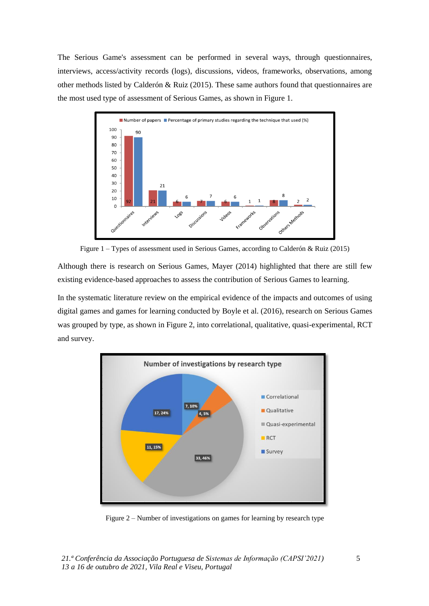The Serious Game's assessment can be performed in several ways, through questionnaires, interviews, access/activity records (logs), discussions, videos, frameworks, observations, among other methods listed by Calderón & Ruiz (2015). These same authors found that questionnaires are the most used type of assessment of Serious Games, as shown in Figure 1.



Figure 1 – Types of assessment used in Serious Games, according to Calderón & Ruiz (2015)

Although there is research on Serious Games, Mayer (2014) highlighted that there are still few existing evidence-based approaches to assess the contribution of Serious Games to learning.

In the systematic literature review on the empirical evidence of the impacts and outcomes of using digital games and games for learning conducted by Boyle et al. (2016), research on Serious Games was grouped by type, as shown in Figure 2, into correlational, qualitative, quasi-experimental, RCT and survey.



Figure 2 – Number of investigations on games for learning by research type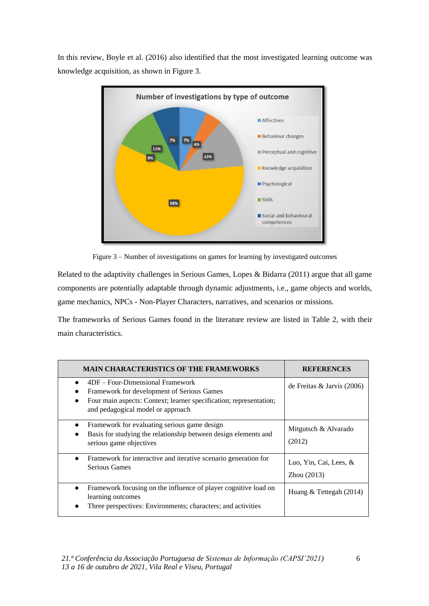In this review, Boyle et al. (2016) also identified that the most investigated learning outcome was knowledge acquisition, as shown in Figure 3.



Figure 3 – Number of investigations on games for learning by investigated outcomes

Related to the adaptivity challenges in Serious Games, Lopes & Bidarra (2011) argue that all game components are potentially adaptable through dynamic adjustments, i.e., game objects and worlds, game mechanics, NPCs - Non-Player Characters, narratives, and scenarios or missions.

The frameworks of Serious Games found in the literature review are listed in Table 2, with their main characteristics.

| <b>MAIN CHARACTERISTICS OF THE FRAMEWORKS</b>                                                                                                                                                          | <b>REFERENCES</b>                     |
|--------------------------------------------------------------------------------------------------------------------------------------------------------------------------------------------------------|---------------------------------------|
| 4DF – Four-Dimensional Framework<br>Framework for development of Serious Games<br>Four main aspects: Context; learner specification; representation;<br>$\bullet$<br>and pedagogical model or approach | de Freitas & Jarvis $(2006)$          |
| Framework for evaluating serious game design<br>$\bullet$<br>Basis for studying the relationship between design elements and<br>serious game objectives                                                | Mitgutsch & Alvarado<br>(2012)        |
| Framework for interactive and iterative scenario generation for<br>$\bullet$<br>Serious Games                                                                                                          | Luo, Yin, Cai, Lees, &<br>Zhou (2013) |
| Framework focusing on the influence of player cognitive load on<br>$\bullet$<br>learning outcomes<br>Three perspectives: Environments; characters; and activities                                      | Huang $&$ Tettegah (2014)             |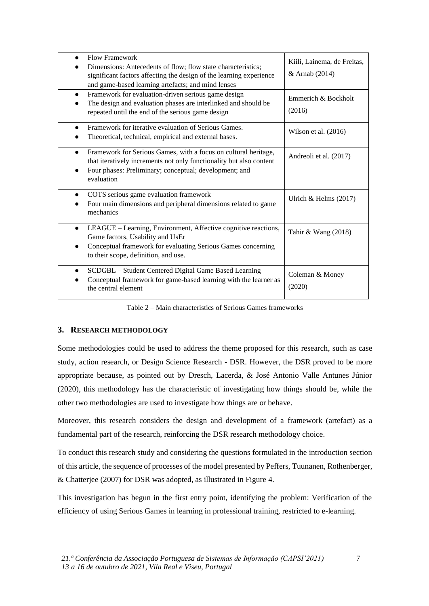| <b>Flow Framework</b><br>$\bullet$<br>Dimensions: Antecedents of flow; flow state characteristics;<br>significant factors affecting the design of the learning experience<br>and game-based learning artefacts; and mind lenses | Kiili, Lainema, de Freitas,<br>& Arnab (2014) |
|---------------------------------------------------------------------------------------------------------------------------------------------------------------------------------------------------------------------------------|-----------------------------------------------|
| Framework for evaluation-driven serious game design<br>$\bullet$<br>The design and evaluation phases are interlinked and should be<br>repeated until the end of the serious game design                                         | Emmerich & Bockholt<br>(2016)                 |
| Framework for iterative evaluation of Serious Games.<br>$\bullet$<br>Theoretical, technical, empirical and external bases.                                                                                                      | Wilson et al. (2016)                          |
| Framework for Serious Games, with a focus on cultural heritage,<br>$\bullet$<br>that iteratively increments not only functionality but also content<br>Four phases: Preliminary; conceptual; development; and<br>evaluation     | Andreoli et al. (2017)                        |
| COTS serious game evaluation framework<br>Four main dimensions and peripheral dimensions related to game<br>mechanics                                                                                                           | Ulrich & Helms $(2017)$                       |
| LEAGUE – Learning, Environment, Affective cognitive reactions,<br>$\bullet$<br>Game factors, Usability and UsEr<br>Conceptual framework for evaluating Serious Games concerning<br>to their scope, definition, and use.         | Tahir & Wang $(2018)$                         |
| SCDGBL - Student Centered Digital Game Based Learning<br>Conceptual framework for game-based learning with the learner as<br>the central element                                                                                | Coleman & Money<br>(2020)                     |

Table 2 – Main characteristics of Serious Games frameworks

#### **3. RESEARCH METHODOLOGY**

Some methodologies could be used to address the theme proposed for this research, such as case study, action research, or Design Science Research - DSR. However, the DSR proved to be more appropriate because, as pointed out by Dresch, Lacerda, & José Antonio Valle Antunes Júnior (2020), this methodology has the characteristic of investigating how things should be, while the other two methodologies are used to investigate how things are or behave.

Moreover, this research considers the design and development of a framework (artefact) as a fundamental part of the research, reinforcing the DSR research methodology choice.

To conduct this research study and considering the questions formulated in the introduction section of this article, the sequence of processes of the model presented by Peffers, Tuunanen, Rothenberger, & Chatterjee (2007) for DSR was adopted, as illustrated in Figure 4.

This investigation has begun in the first entry point, identifying the problem: Verification of the efficiency of using Serious Games in learning in professional training, restricted to e-learning.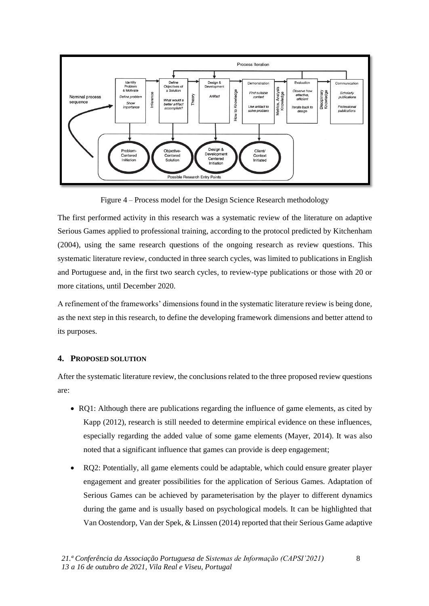

Figure 4 – Process model for the Design Science Research methodology

The first performed activity in this research was a systematic review of the literature on adaptive Serious Games applied to professional training, according to the protocol predicted by Kitchenham (2004), using the same research questions of the ongoing research as review questions. This systematic literature review, conducted in three search cycles, was limited to publications in English and Portuguese and, in the first two search cycles, to review-type publications or those with 20 or more citations, until December 2020.

A refinement of the frameworks' dimensions found in the systematic literature review is being done, as the next step in this research, to define the developing framework dimensions and better attend to its purposes.

#### **4. PROPOSED SOLUTION**

After the systematic literature review, the conclusions related to the three proposed review questions are:

- RQ1: Although there are publications regarding the influence of game elements, as cited by Kapp (2012), research is still needed to determine empirical evidence on these influences, especially regarding the added value of some game elements (Mayer, 2014). It was also noted that a significant influence that games can provide is deep engagement;
- RQ2: Potentially, all game elements could be adaptable, which could ensure greater player engagement and greater possibilities for the application of Serious Games. Adaptation of Serious Games can be achieved by parameterisation by the player to different dynamics during the game and is usually based on psychological models. It can be highlighted that Van Oostendorp, Van der Spek, & Linssen (2014) reported that their Serious Game adaptive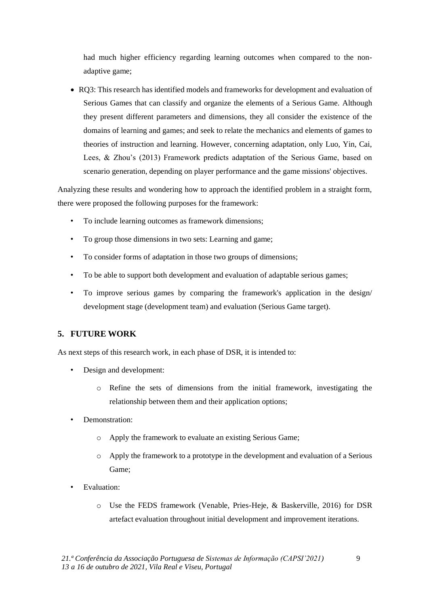had much higher efficiency regarding learning outcomes when compared to the nonadaptive game;

• RQ3: This research has identified models and frameworks for development and evaluation of Serious Games that can classify and organize the elements of a Serious Game. Although they present different parameters and dimensions, they all consider the existence of the domains of learning and games; and seek to relate the mechanics and elements of games to theories of instruction and learning. However, concerning adaptation, only Luo, Yin, Cai, Lees, & Zhou's (2013) Framework predicts adaptation of the Serious Game, based on scenario generation, depending on player performance and the game missions' objectives.

Analyzing these results and wondering how to approach the identified problem in a straight form, there were proposed the following purposes for the framework:

- To include learning outcomes as framework dimensions;
- To group those dimensions in two sets: Learning and game;
- To consider forms of adaptation in those two groups of dimensions;
- To be able to support both development and evaluation of adaptable serious games;
- To improve serious games by comparing the framework's application in the design/ development stage (development team) and evaluation (Serious Game target).

#### **5. FUTURE WORK**

As next steps of this research work, in each phase of DSR, it is intended to:

- Design and development:
	- o Refine the sets of dimensions from the initial framework, investigating the relationship between them and their application options;
- Demonstration:
	- o Apply the framework to evaluate an existing Serious Game;
	- o Apply the framework to a prototype in the development and evaluation of a Serious Game;
- Evaluation:
	- o Use the FEDS framework (Venable, Pries-Heje, & Baskerville, 2016) for DSR artefact evaluation throughout initial development and improvement iterations.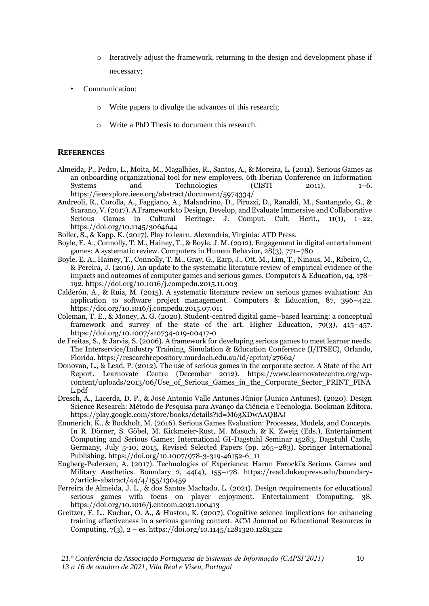- o Iteratively adjust the framework, returning to the design and development phase if necessary;
- Communication:
	- o Write papers to divulge the advances of this research;
	- o Write a PhD Thesis to document this research.

#### **REFERENCES**

- Almeida, P., Pedro, L., Moita, M., Magalhães, R., Santos, A., & Moreira, L. (2011). Serious Games as an onboarding organizational tool for new employees. 6th Iberian Conference on Information Systems and Technologies (CISTI 2011), 1-6. https://ieeexplore.ieee.org/abstract/document/5974334/
- Andreoli, R., Corolla, A., Faggiano, A., Malandrino, D., Pirozzi, D., Ranaldi, M., Santangelo, G., & Scarano, V. (2017). A Framework to Design, Develop, and Evaluate Immersive and Collaborative Serious Games in Cultural Heritage. J. Comput. Cult. Herit., 11(1), 1–22. https://doi.org/10.1145/3064644
- Boller, S., & Kapp, K. (2017). Play to learn. Alexandria, Virginia: ATD Press.
- Boyle, E. A., Connolly, T. M., Hainey, T., & Boyle, J. M. (2012). Engagement in digital entertainment games: A systematic review. Computers in Human Behavior,  $28(3)$ ,  $771-780$
- Boyle, E. A., Hainey, T., Connolly, T. M., Gray, G., Earp, J., Ott, M., Lim, T., Ninaus, M., Ribeiro, C., & Pereira, J. (2016). An update to the systematic literature review of empirical evidence of the impacts and outcomes of computer games and serious games. Computers & Education, 94, 178– 192. https://doi.org/10.1016/j.compedu.2015.11.003
- Calderón, A., & Ruiz, M. (2015). A systematic literature review on serious games evaluation: An application to software project management. Computers & Education, 87, 396–422. https://doi.org/10.1016/j.compedu.2015.07.011
- Coleman, T. E., & Money, A. G. (2020). Student-centred digital game–based learning: a conceptual framework and survey of the state of the art. Higher Education,  $79(3)$ ,  $415-457$ . https://doi.org/10.1007/s10734-019-00417-0
- de Freitas, S., & Jarvis, S. (2006). A framework for developing serious games to meet learner needs. The Interservice/Industry Training, Simulation & Education Conference (I/ITSEC), Orlando, Florida. https://researchrepository.murdoch.edu.au/id/eprint/27662/
- Donovan, L., & Lead, P. (2012). The use of serious games in the corporate sector. A State of the Art Report. Learnovate Centre (December 2012). https://www.learnovatecentre.org/wpcontent/uploads/2013/06/Use of Serious Games in the Corporate Sector PRINT FINA L.pdf
- Dresch, A., Lacerda, D. P., & José Antonio Valle Antunes Júnior (Junico Antunes). (2020). Design Science Research: Método de Pesquisa para Avanço da Ciência e Tecnologia. Bookman Editora. https://play.google.com/store/books/details?id=M63XDwAAQBAJ
- Emmerich, K., & Bockholt, M. (2016). Serious Games Evaluation: Processes, Models, and Concepts. In R. Dörner, S. Göbel, M. Kickmeier-Rust, M. Masuch, & K. Zweig (Eds.), Entertainment Computing and Serious Games: International GI-Dagstuhl Seminar 15283, Dagstuhl Castle, Germany, July 5-10, 2015, Revised Selected Papers (pp. 265–283). Springer International Publishing. https://doi.org/10.1007/978-3-319-46152-6\_11
- Engberg-Pedersen, A. (2017). Technologies of Experience: Harun Farocki's Serious Games and Military Aesthetics. Boundary 2, 44(4), 155–178. https://read.dukeupress.edu/boundary-2/article-abstract/44/4/155/130459
- Ferreira de Almeida, J. L., & dos Santos Machado, L. (2021). Design requirements for educational serious games with focus on player enjoyment. Entertainment Computing, 38. https://doi.org/10.1016/j.entcom.2021.100413
- Greitzer, F. L., Kuchar, O. A., & Huston, K. (2007). Cognitive science implications for enhancing training effectiveness in a serious gaming context. ACM Journal on Educational Resources in Computing, 7(3), 2 – es. https://doi.org/10.1145/1281320.1281322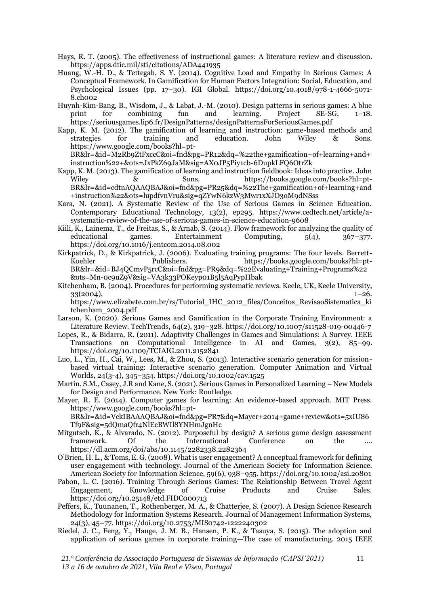- Hays, R. T. (2005). The effectiveness of instructional games: A literature review and discussion. https://apps.dtic.mil/sti/citations/ADA441935
- Huang, W.-H. D., & Tettegah, S. Y. (2014). Cognitive Load and Empathy in Serious Games: A Conceptual Framework. In Gamification for Human Factors Integration: Social, Education, and Psychological Issues (pp. 17–30). IGI Global. https://doi.org/10.4018/978-1-4666-5071- 8.ch002
- Huynh-Kim-Bang, B., Wisdom, J., & Labat, J.-M. (2010). Design patterns in serious games: A blue<br>print for combining fun and learning. Project SE-SG, 1–18. for combining fun and learning. Project  $SE-SG$ ,  $1-18$ . https://seriousgames.lip6.fr/DesignPatterns/designPatternsForSeriousGames.pdf
- Kapp, K. M. (2012). The gamification of learning and instruction: game-based methods and strategies for training and education. John Wiley & Sons. https://www.google.com/books?hl=pt-BR&lr=&id=M2Rb9ZtFxccC&oi=fnd&pg=PR12&dq=%22the+gamification+of+learning+and+

instruction%22+&ots=JxPkZ69JaM&sig=AX0JP5Piy1cb-6DupkLFQ6OtrZk

- Kapp, K. M. (2013). The gamification of learning and instruction fieldbook: Ideas into practice. John Wiley  $\&$  Sons. https://books.google.com/books?hl=pt-BR&lr=&id=cdtnAQAAQBAJ&oi=fnd&pg=PR25&dq=%22The+gamification+of+learning+and +instruction%22&ots=lupdfvnVru&sig=qZYwN6kzW3Mwr1xXJD3oM9dNSss
- Kara, N. (2021). A Systematic Review of the Use of Serious Games in Science Education. Contemporary Educational Technology, 13(2), ep295. https://www.cedtech.net/article/asystematic-review-of-the-use-of-serious-games-in-science-education-9608
- Kiili, K., Lainema, T., de Freitas, S., & Arnab, S. (2014). Flow framework for analyzing the quality of educational games. Entertainment Computing,  $5(4)$ ,  $367-377$ . educational games. Entertainment Computing, 5(4), 367–377. https://doi.org/10.1016/j.entcom.2014.08.002
- Kirkpatrick, D., & Kirkpatrick, J. (2006). Evaluating training programs: The four levels. Berrett-Koehler Publishers. https://books.google.com/books?hl=pt-BR&lr=&id=BJ4QCmvP5rcC&oi=fnd&pg=PR9&dq=%22Evaluating+Training+Programs%22 &ots=Mn-0c9uZ9V&sig=VA3k33POKeyp01B5l5AqPypHbak
- Kitchenham, B. (2004). Procedures for performing systematic reviews. Keele, UK, Keele University,  $33(2004)$ , 1–26.

https://www.elizabete.com.br/rs/Tutorial\_IHC\_2012\_files/Conceitos\_RevisaoSistematica\_ki tchenham\_2004.pdf

- Larson, K. (2020). Serious Games and Gamification in the Corporate Training Environment: a Literature Review. TechTrends, 64(2), 319–328. https://doi.org/10.1007/s11528-019-00446-7
- Lopes, R., & Bidarra, R. (2011). Adaptivity Challenges in Games and Simulations: A Survey. IEEE Transactions on Computational Intelligence in AI and Games, 3(2), 85–99. https://doi.org/10.1109/TCIAIG.2011.2152841
- Luo, L., Yin, H., Cai, W., Lees, M., & Zhou, S. (2013). Interactive scenario generation for missionbased virtual training: Interactive scenario generation. Computer Animation and Virtual Worlds, 24(3-4), 345–354. https://doi.org/10.1002/cav.1525
- Martin, S.M., Casey, J.R and Kane, S. (2021). Serious Games in Personalized Learning New Models for Design and Performance. New York: Routledge.
- Mayer, R. E. (2014). Computer games for learning: An evidence-based approach. MIT Press. https://www.google.com/books?hl=pt-BR&lr=&id=VckIBAAAQBAJ&oi=fnd&pg=PR7&dq=Mayer+2014+game+review&ots=5xIU86 Tf9F&sig=5dQmaQfr4NlEcBWIl8YNHmJgnHc
- Mitgutsch, K., & Alvarado, N. (2012). Purposeful by design? A serious game design assessment framework. Of the International Conference on the https://dl.acm.org/doi/abs/10.1145/2282338.2282364
- O'Brien, H. L., & Toms, E. G. (2008). What is user engagement? A conceptual framework for defining user engagement with technology. Journal of the American Society for Information Science. American Society for Information Science, 59(6), 938–955. https://doi.org/10.1002/asi.20801
- Pabon, L. C. (2016). Training Through Serious Games: The Relationship Between Travel Agent Engagement, Knowledge of Cruise Products and Cruise Sales. https://doi.org/10.25148/etd.FIDC000713
- Peffers, K., Tuunanen, T., Rothenberger, M. A., & Chatterjee, S. (2007). A Design Science Research Methodology for Information Systems Research. Journal of Management Information Systems, 24(3), 45–77. https://doi.org/10.2753/MIS0742-1222240302
- Riedel, J. C., Feng, Y., Hauge, J. M. B., Hansen, P. K., & Tasuya, S. (2015). The adoption and application of serious games in corporate training—The case of manufacturing. 2015 IEEE

*21.ª Conferência da Associação Portuguesa de Sistemas de Informação (CAPSI'2021) 13 a 16 de outubro de 2021, Vila Real e Viseu, Portugal*